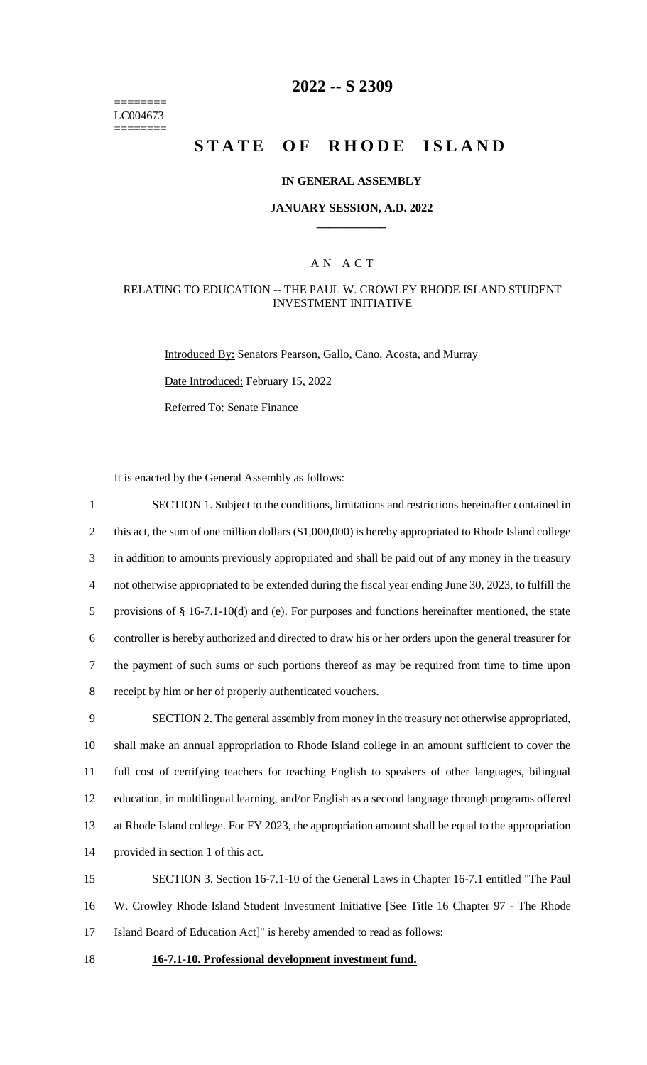======== LC004673 ========

# **2022 -- S 2309**

# **STATE OF RHODE ISLAND**

#### **IN GENERAL ASSEMBLY**

#### **JANUARY SESSION, A.D. 2022 \_\_\_\_\_\_\_\_\_\_\_\_**

### A N A C T

#### RELATING TO EDUCATION -- THE PAUL W. CROWLEY RHODE ISLAND STUDENT INVESTMENT INITIATIVE

Introduced By: Senators Pearson, Gallo, Cano, Acosta, and Murray

Date Introduced: February 15, 2022

Referred To: Senate Finance

It is enacted by the General Assembly as follows:

 SECTION 1. Subject to the conditions, limitations and restrictions hereinafter contained in 2 this act, the sum of one million dollars (\$1,000,000) is hereby appropriated to Rhode Island college in addition to amounts previously appropriated and shall be paid out of any money in the treasury not otherwise appropriated to be extended during the fiscal year ending June 30, 2023, to fulfill the provisions of § 16-7.1-10(d) and (e). For purposes and functions hereinafter mentioned, the state controller is hereby authorized and directed to draw his or her orders upon the general treasurer for the payment of such sums or such portions thereof as may be required from time to time upon receipt by him or her of properly authenticated vouchers. SECTION 2. The general assembly from money in the treasury not otherwise appropriated, shall make an annual appropriation to Rhode Island college in an amount sufficient to cover the full cost of certifying teachers for teaching English to speakers of other languages, bilingual education, in multilingual learning, and/or English as a second language through programs offered at Rhode Island college. For FY 2023, the appropriation amount shall be equal to the appropriation provided in section 1 of this act.

15 SECTION 3. Section 16-7.1-10 of the General Laws in Chapter 16-7.1 entitled "The Paul 16 W. Crowley Rhode Island Student Investment Initiative [See Title 16 Chapter 97 - The Rhode 17 Island Board of Education Act]" is hereby amended to read as follows:

#### 18 **16-7.1-10. Professional development investment fund.**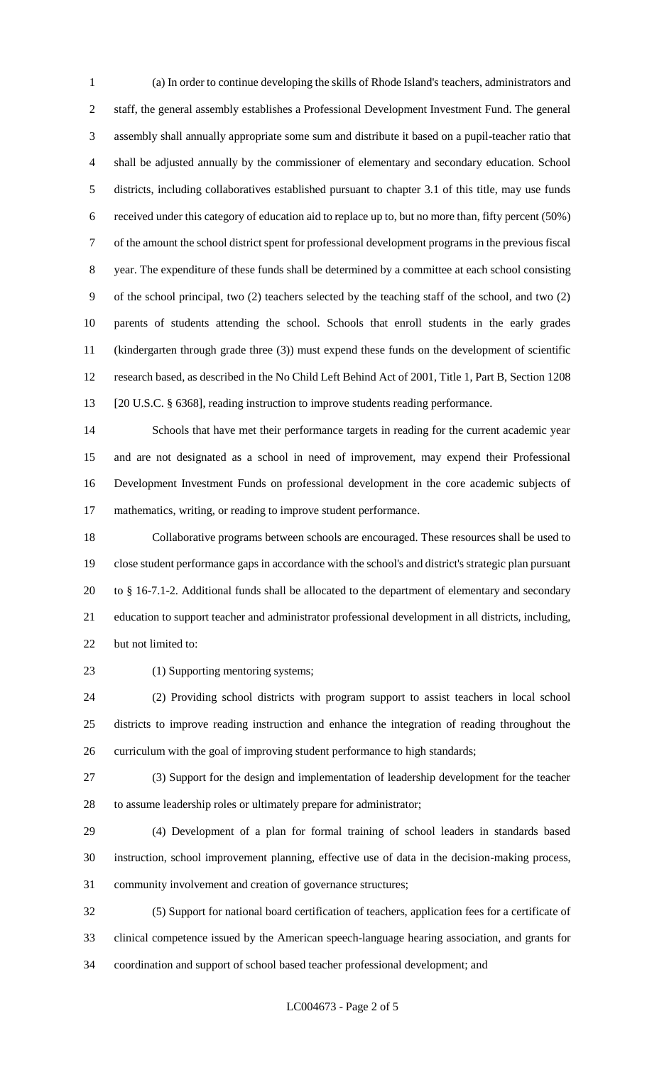(a) In order to continue developing the skills of Rhode Island's teachers, administrators and staff, the general assembly establishes a Professional Development Investment Fund. The general assembly shall annually appropriate some sum and distribute it based on a pupil-teacher ratio that shall be adjusted annually by the commissioner of elementary and secondary education. School districts, including collaboratives established pursuant to chapter 3.1 of this title, may use funds received under this category of education aid to replace up to, but no more than, fifty percent (50%) of the amount the school district spent for professional development programs in the previous fiscal year. The expenditure of these funds shall be determined by a committee at each school consisting of the school principal, two (2) teachers selected by the teaching staff of the school, and two (2) parents of students attending the school. Schools that enroll students in the early grades (kindergarten through grade three (3)) must expend these funds on the development of scientific research based, as described in the No Child Left Behind Act of 2001, Title 1, Part B, Section 1208 [20 U.S.C. § 6368], reading instruction to improve students reading performance.

 Schools that have met their performance targets in reading for the current academic year and are not designated as a school in need of improvement, may expend their Professional Development Investment Funds on professional development in the core academic subjects of mathematics, writing, or reading to improve student performance.

 Collaborative programs between schools are encouraged. These resources shall be used to close student performance gaps in accordance with the school's and district's strategic plan pursuant to § 16-7.1-2. Additional funds shall be allocated to the department of elementary and secondary education to support teacher and administrator professional development in all districts, including, but not limited to:

23 (1) Supporting mentoring systems;

 (2) Providing school districts with program support to assist teachers in local school districts to improve reading instruction and enhance the integration of reading throughout the curriculum with the goal of improving student performance to high standards;

 (3) Support for the design and implementation of leadership development for the teacher to assume leadership roles or ultimately prepare for administrator;

 (4) Development of a plan for formal training of school leaders in standards based instruction, school improvement planning, effective use of data in the decision-making process, community involvement and creation of governance structures;

 (5) Support for national board certification of teachers, application fees for a certificate of clinical competence issued by the American speech-language hearing association, and grants for coordination and support of school based teacher professional development; and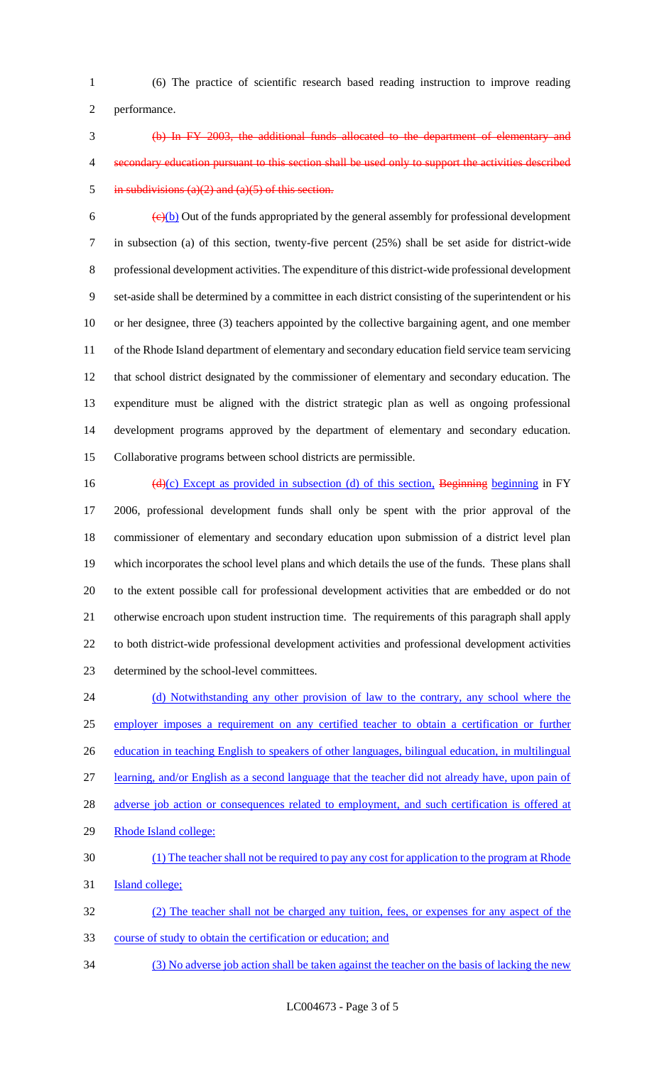(6) The practice of scientific research based reading instruction to improve reading performance.

 (b) In FY 2003, the additional funds allocated to the department of elementary and secondary education pursuant to this section shall be used only to support the activities described 5 in subdivisions (a)(2) and (a)(5) of this section.

 $\left(\frac{e}{b}\right)$  Out of the funds appropriated by the general assembly for professional development in subsection (a) of this section, twenty-five percent (25%) shall be set aside for district-wide professional development activities. The expenditure of this district-wide professional development set-aside shall be determined by a committee in each district consisting of the superintendent or his or her designee, three (3) teachers appointed by the collective bargaining agent, and one member of the Rhode Island department of elementary and secondary education field service team servicing that school district designated by the commissioner of elementary and secondary education. The expenditure must be aligned with the district strategic plan as well as ongoing professional development programs approved by the department of elementary and secondary education. Collaborative programs between school districts are permissible.

16 (d)(c) Except as provided in subsection (d) of this section, Beginning beginning in FY 2006, professional development funds shall only be spent with the prior approval of the commissioner of elementary and secondary education upon submission of a district level plan which incorporates the school level plans and which details the use of the funds. These plans shall to the extent possible call for professional development activities that are embedded or do not otherwise encroach upon student instruction time. The requirements of this paragraph shall apply to both district-wide professional development activities and professional development activities determined by the school-level committees.

24 (d) Notwithstanding any other provision of law to the contrary, any school where the employer imposes a requirement on any certified teacher to obtain a certification or further 26 education in teaching English to speakers of other languages, bilingual education, in multilingual learning, and/or English as a second language that the teacher did not already have, upon pain of 28 adverse job action or consequences related to employment, and such certification is offered at Rhode Island college: (1) The teacher shall not be required to pay any cost for application to the program at Rhode **Island college;**  (2) The teacher shall not be charged any tuition, fees, or expenses for any aspect of the course of study to obtain the certification or education; and

(3) No adverse job action shall be taken against the teacher on the basis of lacking the new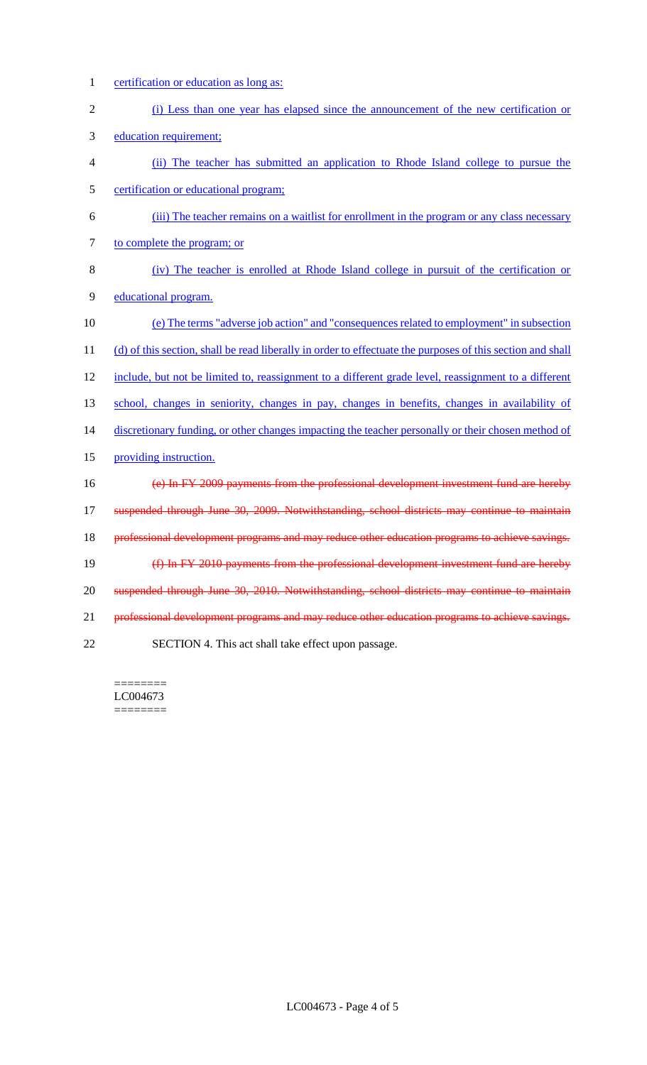- certification or education as long as:
- (i) Less than one year has elapsed since the announcement of the new certification or
- education requirement;
- (ii) The teacher has submitted an application to Rhode Island college to pursue the certification or educational program;
- (iii) The teacher remains on a waitlist for enrollment in the program or any class necessary 7 to complete the program; or
- (iv) The teacher is enrolled at Rhode Island college in pursuit of the certification or educational program.
- (e) The terms "adverse job action" and "consequences related to employment" in subsection 11 (d) of this section, shall be read liberally in order to effectuate the purposes of this section and shall 12 include, but not be limited to, reassignment to a different grade level, reassignment to a different school, changes in seniority, changes in pay, changes in benefits, changes in availability of 14 discretionary funding, or other changes impacting the teacher personally or their chosen method of providing instruction. (e) In FY 2009 payments from the professional development investment fund are hereby 17 suspended through June 30, 2009. Notwithstanding, school districts may continue to maintain 18 professional development programs and may reduce other education programs to achieve savings. (f) In FY 2010 payments from the professional development investment fund are hereby suspended through June 30, 2010. Notwithstanding, school districts may continue to maintain professional development programs and may reduce other education programs to achieve savings. SECTION 4. This act shall take effect upon passage.

======== LC004673 ========